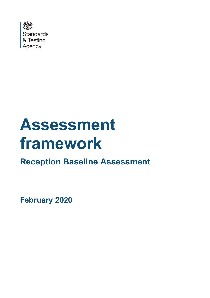

# **Assessment framework**

**Reception Baseline Assessment**

**February 2020**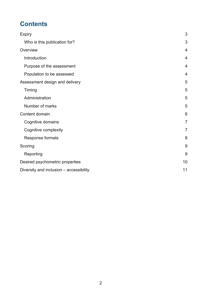# **Contents**

| <b>Expiry</b>                           | 3              |
|-----------------------------------------|----------------|
| Who is this publication for?            | 3              |
| Overview                                | $\overline{4}$ |
| Introduction                            | 4              |
| Purpose of the assessment               | 4              |
| Population to be assessed               | 4              |
| Assessment design and delivery          | 5              |
| Timing                                  | 5              |
| Administration                          | 5              |
| Number of marks                         | 5              |
| Content domain                          | 6              |
| Cognitive domains                       | $\overline{7}$ |
| Cognitive complexity                    | $\overline{7}$ |
| Response formats                        | 8              |
| Scoring                                 | 9              |
| Reporting                               | 9              |
| Desired psychometric properties         | 10             |
| Diversity and inclusion - accessibility | 11             |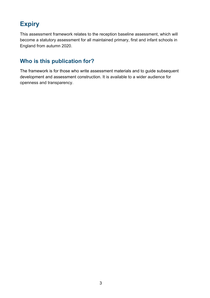# <span id="page-2-0"></span>**Expiry**

This assessment framework relates to the reception baseline assessment, which will become a statutory assessment for all maintained primary, first and infant schools in England from autumn 2020.

### <span id="page-2-1"></span>**Who is this publication for?**

The framework is for those who write assessment materials and to guide subsequent development and assessment construction. It is available to a wider audience for openness and transparency.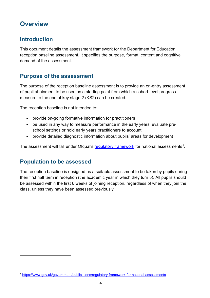# <span id="page-3-0"></span>**Overview**

### <span id="page-3-1"></span>**Introduction**

This document details the assessment framework for the Department for Education reception baseline assessment. It specifies the purpose, format, content and cognitive demand of the assessment.

### <span id="page-3-2"></span>**Purpose of the assessment**

The purpose of the reception baseline assessment is to provide an on-entry assessment of pupil attainment to be used as a starting point from which a cohort-level progress measure to the end of key stage 2 (KS2) can be created.

The reception baseline is not intended to:

- provide on-going formative information for practitioners
- be used in any way to measure performance in the early years, evaluate preschool settings or hold early years practitioners to account
- provide detailed diagnostic information about pupils' areas for development

The assessment will fall under Ofqual's [regulatory framework](https://www.gov.uk/government/publications/regulatory-framework-for-national-assessments) for national assessments<sup>1</sup>.

### <span id="page-3-3"></span>**Population to be assessed**

The reception baseline is designed as a suitable assessment to be taken by pupils during their first half term in reception (the academic year in which they turn 5). All pupils should be assessed within the first 6 weeks of joining reception, regardless of when they join the class, unless they have been assessed previously.

<span id="page-3-4"></span><sup>1</sup> <https://www.gov.uk/government/publications/regulatory-framework-for-national-assessments>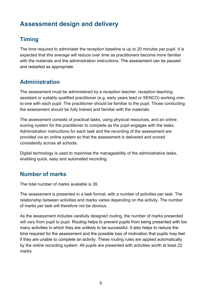# <span id="page-4-0"></span>**Assessment design and delivery**

# <span id="page-4-1"></span>**Timing**

The time required to administer the reception baseline is up to 20 minutes per pupil. It is expected that this average will reduce over time as practitioners become more familiar with the materials and the administration instructions. The assessment can be paused and restarted as appropriate.

## <span id="page-4-2"></span>**Administration**

The assessment must be administered by a reception teacher, reception teaching assistant or suitably qualified practitioner (e.g. early years lead or SENCO) working oneto-one with each pupil. The practitioner should be familiar to the pupil. Those conducting the assessment should be fully trained and familiar with the materials.

The assessment consists of practical tasks, using physical resources, and an online scoring system for the practitioner to complete as the pupil engages with the tasks. Administration instructions for each task and the recording of the assessment are provided via an online system so that the assessment is delivered and scored consistently across all schools.

Digital technology is used to maximise the manageability of the administrative tasks, enabling quick, easy and automated recording.

### <span id="page-4-3"></span>**Number of marks**

The total number of marks available is 39.

The assessment is presented in a task format, with a number of activities per task. The relationship between activities and marks varies depending on the activity. The number of marks per task will therefore not be obvious.

As the assessment includes carefully designed routing, the number of marks presented will vary from pupil to pupil. Routing helps to prevent pupils from being presented with too many activities in which they are unlikely to be successful. It also helps to reduce the time required for the assessment and the possible loss of motivation that pupils may feel if they are unable to complete an activity. These routing rules are applied automatically by the online recording system. All pupils are presented with activities worth at least 22 marks.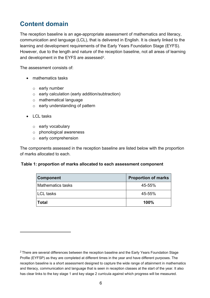# <span id="page-5-0"></span>**Content domain**

The reception baseline is an age-appropriate assessment of mathematics and literacy, communication and language (LCL), that is delivered in English. It is clearly linked to the learning and development requirements of the Early Years Foundation Stage (EYFS). However, due to the length and nature of the reception baseline, not all areas of learning and development in the EYFS are assessed[2](#page-5-1).

The assessment consists of:

- mathematics tasks
	- o early number
	- o early calculation (early addition/subtraction)
	- o mathematical language
	- $\circ$  early understanding of pattern
- LCL tasks
	- o early vocabulary
	- o phonological awareness
	- o early comprehension

The components assessed in the reception baseline are listed below with the proportion of marks allocated to each.

#### **Table 1: proportion of marks allocated to each assessment component**

| <b>Component</b>         | <b>Proportion of marks</b> |
|--------------------------|----------------------------|
| <b>Mathematics tasks</b> | 45-55%                     |
| <b>LCL</b> tasks         | 45-55%                     |
| <b>Total</b>             | 100%                       |

<span id="page-5-1"></span><sup>&</sup>lt;sup>2</sup> There are several differences between the reception baseline and the Early Years Foundation Stage Profile (EYFSP) as they are completed at different times in the year and have different purposes. The reception baseline is a short assessment designed to capture the wide range of attainment in mathematics and literacy, communication and language that is seen in reception classes at the start of the year. It also has clear links to the key stage 1 and key stage 2 curricula against which progress will be measured.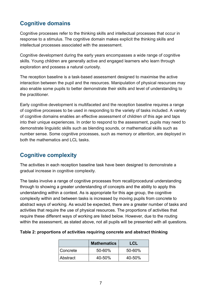### <span id="page-6-0"></span>**Cognitive domains**

Cognitive processes refer to the thinking skills and intellectual processes that occur in response to a stimulus. The cognitive domain makes explicit the thinking skills and intellectual processes associated with the assessment.

Cognitive development during the early years encompasses a wide range of cognitive skills. Young children are generally active and engaged learners who learn through exploration and possess a natural curiosity.

The reception baseline is a task-based assessment designed to maximise the active interaction between the pupil and the resources. Manipulation of physical resources may also enable some pupils to better demonstrate their skills and level of understanding to the practitioner.

Early cognitive development is multifaceted and the reception baseline requires a range of cognitive processes to be used in responding to the variety of tasks included. A variety of cognitive domains enables an effective assessment of children of this age and taps into their unique experiences. In order to respond to the assessment, pupils may need to demonstrate linguistic skills such as blending sounds, or mathematical skills such as number sense. Some cognitive processes, such as memory or attention, are deployed in both the mathematics and LCL tasks.

### <span id="page-6-1"></span>**Cognitive complexity**

The activities in each reception baseline task have been designed to demonstrate a gradual increase in cognitive complexity.

The tasks involve a range of cognitive processes from recall/procedural understanding through to showing a greater understanding of concepts and the ability to apply this understanding within a context. As is appropriate for this age group, the cognitive complexity within and between tasks is increased by moving pupils from concrete to abstract ways of working. As would be expected, there are a greater number of tasks and activities that require the use of physical resources. The proportions of activities that require these different ways of working are listed below. However, due to the routing within the assessment, as stated above, not all pupils will be presented with all questions.

#### **Table 2: proportions of activities requiring concrete and abstract thinking**

|            | <b>Mathematics</b> | LCL    |
|------------|--------------------|--------|
| l Concrete | 50-60%             | 50-60% |
| l Abstract | 40-50%             | 40-50% |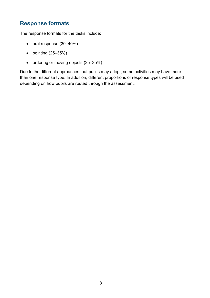## <span id="page-7-0"></span>**Response formats**

The response formats for the tasks include:

- oral response (30–40%)
- pointing (25–35%)
- ordering or moving objects (25–35%)

Due to the different approaches that pupils may adopt, some activities may have more than one response type. In addition, different proportions of response types will be used depending on how pupils are routed through the assessment.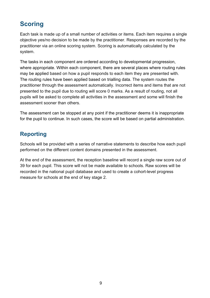# <span id="page-8-0"></span>**Scoring**

Each task is made up of a small number of activities or items. Each item requires a single objective yes/no decision to be made by the practitioner. Responses are recorded by the practitioner via an online scoring system. Scoring is automatically calculated by the system.

The tasks in each component are ordered according to developmental progression, where appropriate. Within each component, there are several places where routing rules may be applied based on how a pupil responds to each item they are presented with. The routing rules have been applied based on trialling data. The system routes the practitioner through the assessment automatically. Incorrect items and items that are not presented to the pupil due to routing will score 0 marks. As a result of routing, not all pupils will be asked to complete all activities in the assessment and some will finish the assessment sooner than others.

The assessment can be stopped at any point if the practitioner deems it is inappropriate for the pupil to continue. In such cases, the score will be based on partial administration.

### <span id="page-8-1"></span>**Reporting**

Schools will be provided with a series of narrative statements to describe how each pupil performed on the different content domains presented in the assessment.

At the end of the assessment, the reception baseline will record a single raw score out of 39 for each pupil. This score will not be made available to schools. Raw scores will be recorded in the national pupil database and used to create a cohort-level progress measure for schools at the end of key stage 2.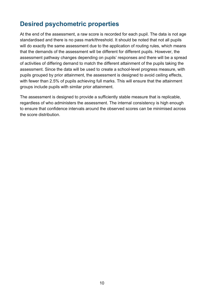# <span id="page-9-0"></span>**Desired psychometric properties**

At the end of the assessment, a raw score is recorded for each pupil. The data is not age standardised and there is no pass mark/threshold. It should be noted that not all pupils will do exactly the same assessment due to the application of routing rules, which means that the demands of the assessment will be different for different pupils. However, the assessment pathway changes depending on pupils' responses and there will be a spread of activities of differing demand to match the different attainment of the pupils taking the assessment. Since the data will be used to create a school-level progress measure, with pupils grouped by prior attainment, the assessment is designed to avoid ceiling effects, with fewer than 2.5% of pupils achieving full marks. This will ensure that the attainment groups include pupils with similar prior attainment.

The assessment is designed to provide a sufficiently stable measure that is replicable, regardless of who administers the assessment. The internal consistency is high enough to ensure that confidence intervals around the observed scores can be minimised across the score distribution.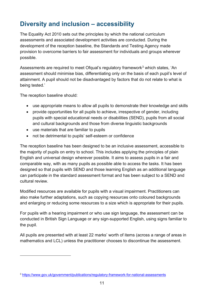# <span id="page-10-0"></span>**Diversity and inclusion – accessibility**

The Equality Act 2010 sets out the principles by which the national curriculum assessments and associated development activities are conducted. During the development of the reception baseline, the Standards and Testing Agency made provision to overcome barriers to fair assessment for individuals and groups wherever possible.

Assessments are required to meet Ofqual's regulatory framework<sup>[3](#page-10-1)</sup> which states, 'An assessment should minimise bias, differentiating only on the basis of each pupil's level of attainment. A pupil should not be disadvantaged by factors that do not relate to what is being tested.'

The reception baseline should:

- use appropriate means to allow all pupils to demonstrate their knowledge and skills
- provide opportunities for all pupils to achieve, irrespective of gender, including pupils with special educational needs or disabilities (SEND), pupils from all social and cultural backgrounds and those from diverse linguistic backgrounds
- use materials that are familiar to pupils
- not be detrimental to pupils' self-esteem or confidence

The reception baseline has been designed to be an inclusive assessment, accessible to the majority of pupils on entry to school. This includes applying the principles of plain English and universal design wherever possible. It aims to assess pupils in a fair and comparable way, with as many pupils as possible able to access the tasks. It has been designed so that pupils with SEND and those learning English as an additional language can participate in the standard assessment format and has been subject to a SEND and cultural review.

Modified resources are available for pupils with a visual impairment. Practitioners can also make further adaptations, such as copying resources onto coloured backgrounds and enlarging or reducing some resources to a size which is appropriate for their pupils.

For pupils with a hearing impairment or who use sign language, the assessment can be conducted in British Sign Language or any sign-supported English, using signs familiar to the pupil.

All pupils are presented with at least 22 marks' worth of items (across a range of areas in mathematics and LCL) unless the practitioner chooses to discontinue the assessment.

<span id="page-10-1"></span><sup>3</sup> <https://www.gov.uk/government/publications/regulatory-framework-for-national-assessments>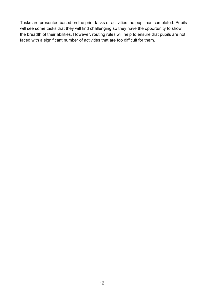Tasks are presented based on the prior tasks or activities the pupil has completed. Pupils will see some tasks that they will find challenging so they have the opportunity to show the breadth of their abilities. However, routing rules will help to ensure that pupils are not faced with a significant number of activities that are too difficult for them.